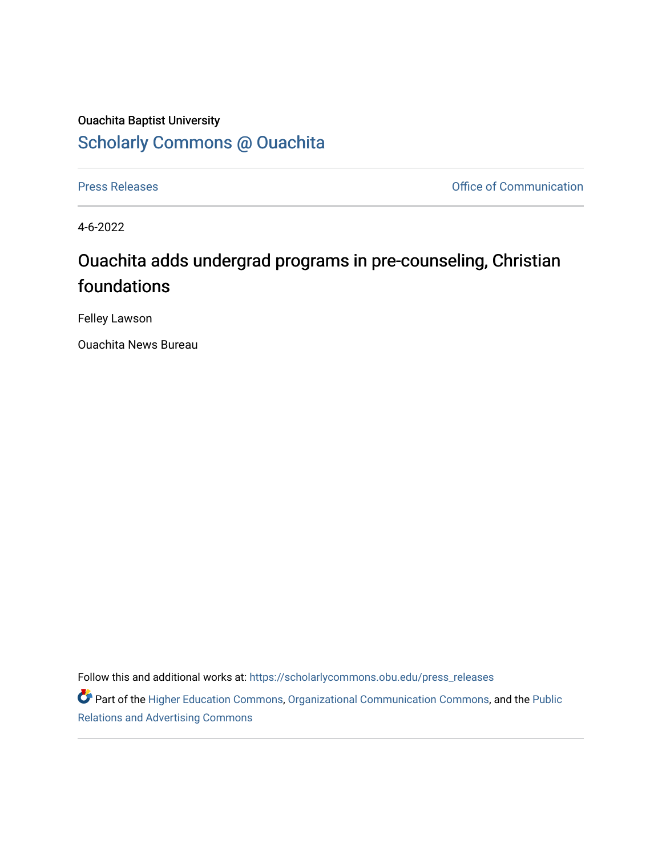## Ouachita Baptist University [Scholarly Commons @ Ouachita](https://scholarlycommons.obu.edu/)

[Press Releases](https://scholarlycommons.obu.edu/press_releases) **Press Releases Communication** 

4-6-2022

## Ouachita adds undergrad programs in pre-counseling, Christian foundations

Felley Lawson

Ouachita News Bureau

Follow this and additional works at: [https://scholarlycommons.obu.edu/press\\_releases](https://scholarlycommons.obu.edu/press_releases?utm_source=scholarlycommons.obu.edu%2Fpress_releases%2F1078&utm_medium=PDF&utm_campaign=PDFCoverPages)

Part of the [Higher Education Commons,](http://network.bepress.com/hgg/discipline/1245?utm_source=scholarlycommons.obu.edu%2Fpress_releases%2F1078&utm_medium=PDF&utm_campaign=PDFCoverPages) [Organizational Communication Commons,](http://network.bepress.com/hgg/discipline/335?utm_source=scholarlycommons.obu.edu%2Fpress_releases%2F1078&utm_medium=PDF&utm_campaign=PDFCoverPages) and the [Public](http://network.bepress.com/hgg/discipline/336?utm_source=scholarlycommons.obu.edu%2Fpress_releases%2F1078&utm_medium=PDF&utm_campaign=PDFCoverPages) [Relations and Advertising Commons](http://network.bepress.com/hgg/discipline/336?utm_source=scholarlycommons.obu.edu%2Fpress_releases%2F1078&utm_medium=PDF&utm_campaign=PDFCoverPages)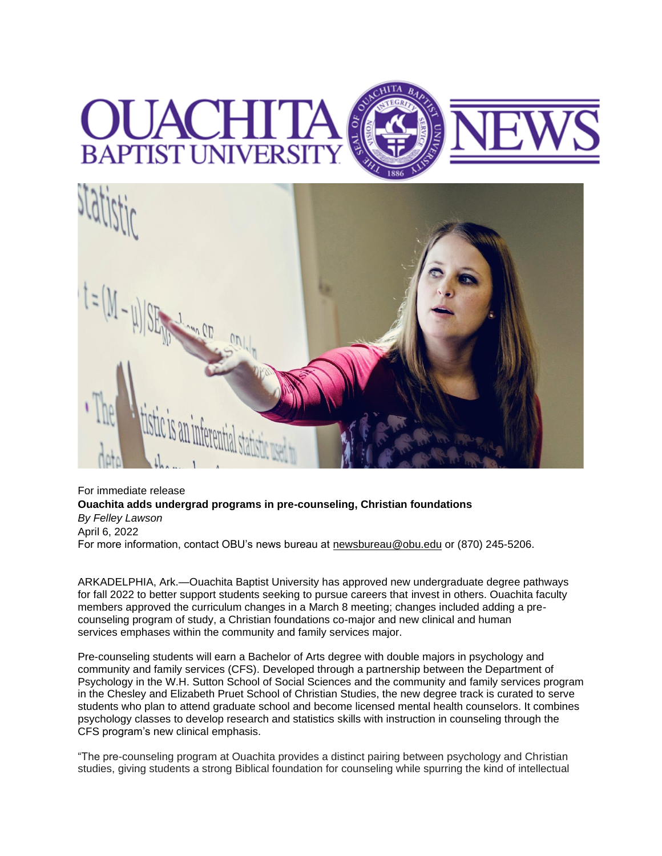## **BAPTIST UNIVERSI**



For immediate release **Ouachita adds undergrad programs in pre-counseling, Christian foundations** *By Felley Lawson* April 6, 2022 For more information, contact OBU's news bureau at [newsbureau@obu.edu](mailto:newsbureau@obu.edu) or (870) 245-5206.

ARKADELPHIA, Ark.—Ouachita Baptist University has approved new undergraduate degree pathways for fall 2022 to better support students seeking to pursue careers that invest in others. Ouachita faculty members approved the curriculum changes in a March 8 meeting; changes included adding a precounseling program of study, a Christian foundations co-major and new clinical and human services emphases within the community and family services major.

Pre-counseling students will earn a Bachelor of Arts degree with double majors in psychology and community and family services (CFS). Developed through a partnership between the Department of Psychology in the W.H. Sutton School of Social Sciences and the community and family services program in the Chesley and Elizabeth Pruet School of Christian Studies, the new degree track is curated to serve students who plan to attend graduate school and become licensed mental health counselors. It combines psychology classes to develop research and statistics skills with instruction in counseling through the CFS program's new clinical emphasis.

"The pre-counseling program at Ouachita provides a distinct pairing between psychology and Christian studies, giving students a strong Biblical foundation for counseling while spurring the kind of intellectual